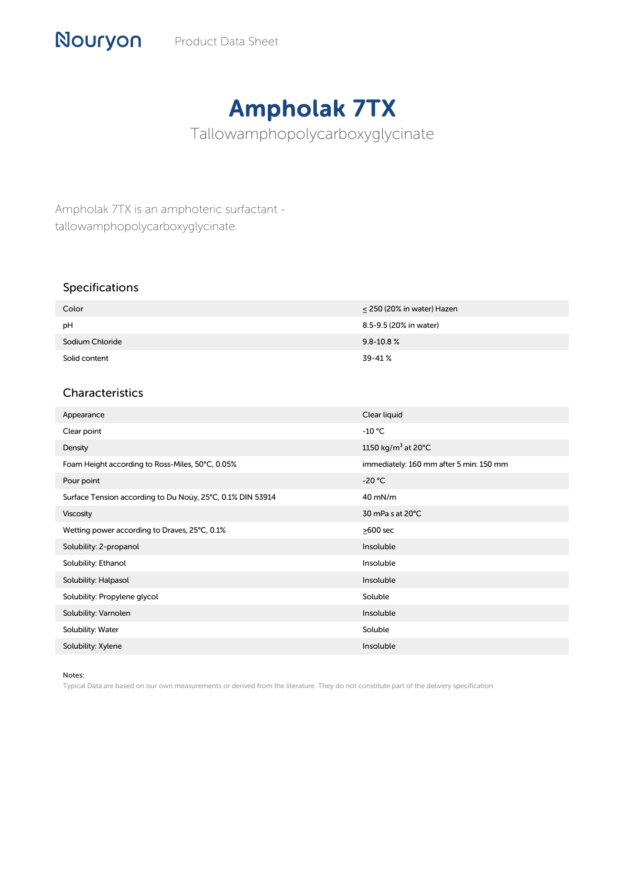## Ampholak 7TX

Tallowamphopolycarboxyglycinate

Ampholak 7TX is an amphoteric surfactant tallowamphopolycarboxyglycinate.

## Specifications

Nouryon

| Color           | $\leq$ 250 (20% in water) Hazen |
|-----------------|---------------------------------|
| pH              | 8.5-9.5 (20% in water)          |
| Sodium Chloride | $9.8 - 10.8 %$                  |
| Solid content   | 39-41%                          |

## Characteristics

| Appearance                                                 | Clear liquid                              |
|------------------------------------------------------------|-------------------------------------------|
| Clear point                                                | $-10 °C$                                  |
| Density                                                    | 1150 kg/m <sup>3</sup> at 20 $^{\circ}$ C |
| Foam Height according to Ross-Miles, 50°C, 0.05%           | immediately: 160 mm after 5 min: 150 mm   |
| Pour point                                                 | $-20 °C$                                  |
| Surface Tension according to Du Noüy, 25°C, 0.1% DIN 53914 | $40$ mN/m                                 |
| <b>Viscosity</b>                                           | 30 mPa s at 20°C                          |
| Wetting power according to Draves, 25°C, 0.1%              | $\geq$ 600 sec                            |
| Solubility: 2-propanol                                     | Insoluble                                 |
| Solubility: Ethanol                                        | Insoluble                                 |
| Solubility: Halpasol                                       | Insoluble                                 |
| Solubility: Propylene glycol                               | Soluble                                   |
| Solubility: Varnolen                                       | Insoluble                                 |
| Solubility: Water                                          | Soluble                                   |
| Solubility: Xylene                                         | Insoluble                                 |

## Notes:

Typical Data are based on our own measurements or derived from the literature. They do not constitute part of the delivery specification.